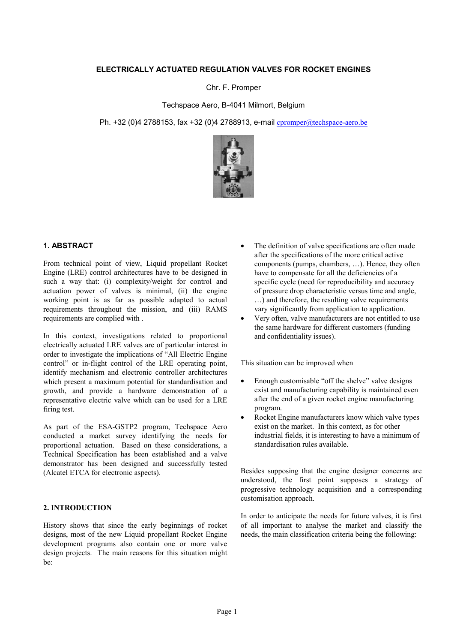## **ELECTRICALLY ACTUATED REGULATION VALVES FOR ROCKET ENGINES**

Chr. F. Promper

Techspace Aero, B-4041 Milmort, Belgium

Ph. +32 (0)4 2788153, fax +32 (0)4 2788913, e-mail cpromper@techspace-aero.be



# **1. ABSTRACT**

From technical point of view, Liquid propellant Rocket Engine (LRE) control architectures have to be designed in such a way that: (i) complexity/weight for control and actuation power of valves is minimal, (ii) the engine working point is as far as possible adapted to actual requirements throughout the mission, and (iii) RAMS requirements are complied with .

In this context, investigations related to proportional electrically actuated LRE valves are of particular interest in order to investigate the implications of "All Electric Engine control" or in-flight control of the LRE operating point, identify mechanism and electronic controller architectures which present a maximum potential for standardisation and growth, and provide a hardware demonstration of a representative electric valve which can be used for a LRE firing test.

As part of the ESA-GSTP2 program, Techspace Aero conducted a market survey identifying the needs for proportional actuation. Based on these considerations, a Technical Specification has been established and a valve demonstrator has been designed and successfully tested (Alcatel ETCA for electronic aspects).

## **2. INTRODUCTION**

History shows that since the early beginnings of rocket designs, most of the new Liquid propellant Rocket Engine development programs also contain one or more valve design projects. The main reasons for this situation might be:

- The definition of valve specifications are often made after the specifications of the more critical active components (pumps, chambers, …). Hence, they often have to compensate for all the deficiencies of a specific cycle (need for reproducibility and accuracy of pressure drop characteristic versus time and angle, …) and therefore, the resulting valve requirements vary significantly from application to application.
- Very often, valve manufacturers are not entitled to use the same hardware for different customers (funding and confidentiality issues).

This situation can be improved when

- Enough customisable "off the shelve" valve designs exist and manufacturing capability is maintained even after the end of a given rocket engine manufacturing program.
- Rocket Engine manufacturers know which valve types exist on the market. In this context, as for other industrial fields, it is interesting to have a minimum of standardisation rules available.

Besides supposing that the engine designer concerns are understood, the first point supposes a strategy of progressive technology acquisition and a corresponding customisation approach.

In order to anticipate the needs for future valves, it is first of all important to analyse the market and classify the needs, the main classification criteria being the following: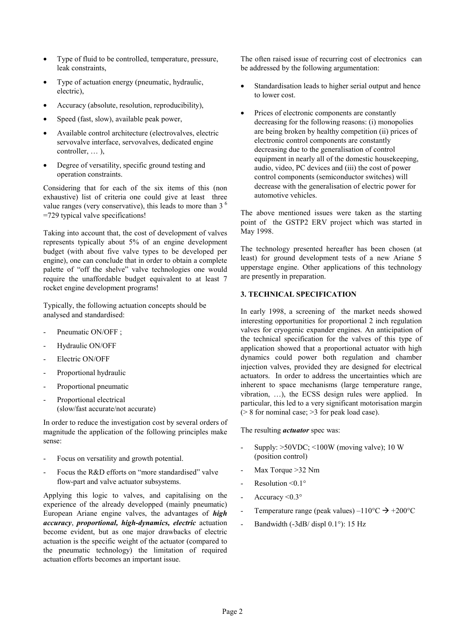- Type of fluid to be controlled, temperature, pressure, leak constraints,
- Type of actuation energy (pneumatic, hydraulic, electric),
- Accuracy (absolute, resolution, reproducibility),
- Speed (fast, slow), available peak power,
- Available control architecture (electrovalves, electric servovalve interface, servovalves, dedicated engine controller, … ),
- Degree of versatility, specific ground testing and operation constraints.

Considering that for each of the six items of this (non exhaustive) list of criteria one could give at least three value ranges (very conservative), this leads to more than  $3<sup>6</sup>$ =729 typical valve specifications!

Taking into account that, the cost of development of valves represents typically about 5% of an engine development budget (with about five valve types to be developed per engine), one can conclude that in order to obtain a complete palette of "off the shelve" valve technologies one would require the unaffordable budget equivalent to at least 7 rocket engine development programs!

Typically, the following actuation concepts should be analysed and standardised:

- Pneumatic ON/OFF :
- Hydraulic ON/OFF
- Electric ON/OFF
- Proportional hydraulic
- Proportional pneumatic
- Proportional electrical (slow/fast accurate/not accurate)

In order to reduce the investigation cost by several orders of magnitude the application of the following principles make sense:

- Focus on versatility and growth potential.
- Focus the R&D efforts on "more standardised" valve flow-part and valve actuator subsystems.

Applying this logic to valves, and capitalising on the experience of the already developped (mainly pneumatic) European Ariane engine valves, the advantages of *high accuracy*, *proportional, high-dynamics, electric* actuation become evident, but as one major drawbacks of electric actuation is the specific weight of the actuator (compared to the pneumatic technology) the limitation of required actuation efforts becomes an important issue.

The often raised issue of recurring cost of electronics can be addressed by the following argumentation:

- Standardisation leads to higher serial output and hence to lower cost.
- Prices of electronic components are constantly decreasing for the following reasons: (i) monopolies are being broken by healthy competition (ii) prices of electronic control components are constantly decreasing due to the generalisation of control equipment in nearly all of the domestic housekeeping, audio, video, PC devices and (iii) the cost of power control components (semiconductor switches) will decrease with the generalisation of electric power for automotive vehicles.

The above mentioned issues were taken as the starting point of the GSTP2 ERV project which was started in May 1998.

The technology presented hereafter has been chosen (at least) for ground development tests of a new Ariane 5 upperstage engine. Other applications of this technology are presently in preparation.

## **3. TECHNICAL SPECIFICATION**

In early 1998, a screening of the market needs showed interesting opportunities for proportional 2 inch regulation valves for cryogenic expander engines. An anticipation of the technical specification for the valves of this type of application showed that a proportional actuator with high dynamics could power both regulation and chamber injection valves, provided they are designed for electrical actuators. In order to address the uncertainties which are inherent to space mechanisms (large temperature range, vibration, …), the ECSS design rules were applied. In particular, this led to a very significant motorisation margin (> 8 for nominal case; >3 for peak load case).

The resulting *actuator* spec was:

- Supply:  $>50VDC$ ; <100W (moving valve); 10 W (position control)
- Max Torque >32 Nm
- Resolution  $\leq 0.1$ °
- Accuracy  $\leq 0.3^{\circ}$
- Temperature range (peak values) – $110^{\circ}C \rightarrow +200^{\circ}C$
- Bandwidth (-3dB/ displ 0.1°): 15 Hz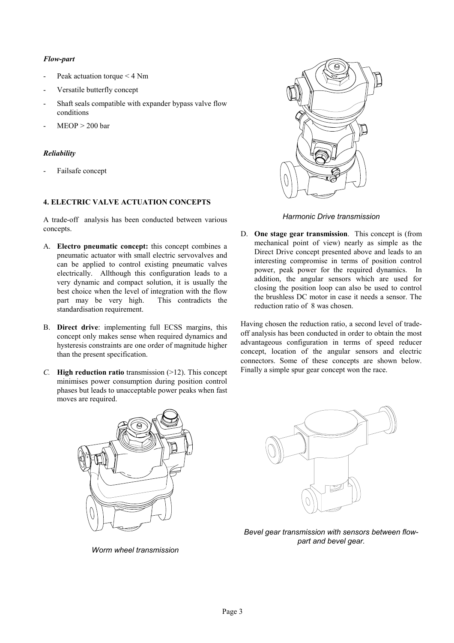# *Flow-part*

- Peak actuation torque < 4 Nm
- Versatile butterfly concept
- Shaft seals compatible with expander bypass valve flow conditions
- $MEOP > 200$  bar

# *Reliability*

Failsafe concept

# **4. ELECTRIC VALVE ACTUATION CONCEPTS**

A trade-off analysis has been conducted between various concepts.

- A. **Electro pneumatic concept:** this concept combines a pneumatic actuator with small electric servovalves and can be applied to control existing pneumatic valves electrically. Allthough this configuration leads to a very dynamic and compact solution, it is usually the best choice when the level of integration with the flow part may be very high. This contradicts the standardisation requirement.
- B. **Direct drive**: implementing full ECSS margins, this concept only makes sense when required dynamics and hysteresis constraints are one order of magnitude higher than the present specification.
- *C.* **High reduction ratio** transmission (>12). This concept minimises power consumption during position control phases but leads to unacceptable power peaks when fast moves are required.



# *Harmonic Drive transmission*

D. **One stage gear transmission**. This concept is (from mechanical point of view) nearly as simple as the Direct Drive concept presented above and leads to an interesting compromise in terms of position control power, peak power for the required dynamics. In addition, the angular sensors which are used for closing the position loop can also be used to control the brushless DC motor in case it needs a sensor. The reduction ratio of 8 was chosen.

Having chosen the reduction ratio, a second level of tradeoff analysis has been conducted in order to obtain the most advantageous configuration in terms of speed reducer concept, location of the angular sensors and electric connectors. Some of these concepts are shown below. Finally a simple spur gear concept won the race.



*Worm wheel transmission*



*Bevel gear transmission with sensors between flowpart and bevel gear.*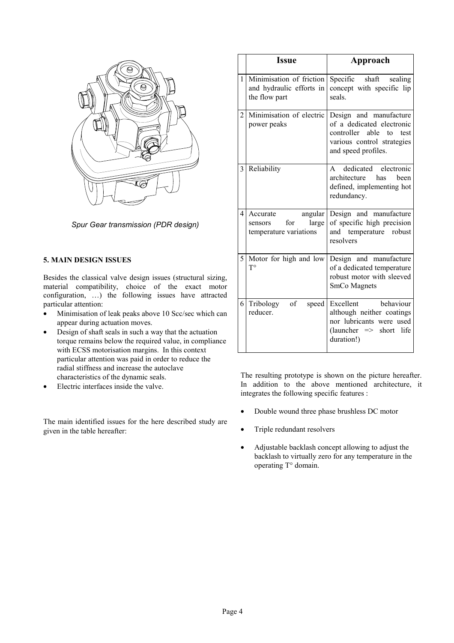

*Spur Gear transmission (PDR design)*

# **5. MAIN DESIGN ISSUES**

Besides the classical valve design issues (structural sizing, material compatibility, choice of the exact motor configuration, …) the following issues have attracted particular attention:

- Minimisation of leak peaks above 10 Scc/sec which can appear during actuation moves.
- Design of shaft seals in such a way that the actuation torque remains below the required value, in compliance with ECSS motorisation margins. In this context particular attention was paid in order to reduce the radial stiffness and increase the autoclave characteristics of the dynamic seals.
- Electric interfaces inside the valve.

The main identified issues for the here described study are given in the table hereafter:

|   | <b>Issue</b>                                                             | Approach                                                                                                                                  |
|---|--------------------------------------------------------------------------|-------------------------------------------------------------------------------------------------------------------------------------------|
| 1 | Minimisation of friction<br>and hydraulic efforts in<br>the flow part    | Specific<br>shaft<br>sealing<br>concept with specific lip<br>seals                                                                        |
| 2 | Minimisation of electric<br>power peaks                                  | Design and manufacture<br>of a dedicated electronic<br>controller able<br>to<br>test<br>various control strategies<br>and speed profiles. |
| 3 | Reliability                                                              | dedicated electronic<br>$\mathbf{A}$<br>architecture<br>has<br>been<br>defined, implementing hot<br>redundancy.                           |
| 4 | angular<br>Accurate<br>for<br>large<br>sensors<br>temperature variations | Design and<br>manufacture<br>of specific high precision<br>and temperature robust<br>resolvers                                            |
| 5 | Motor for high and low<br>$T^{\circ}$                                    | Design and manufacture<br>of a dedicated temperature<br>robust motor with sleeved<br>SmCo Magnets                                         |
| 6 | of<br>Tribology<br>speed<br>reducer.                                     | behaviour<br>Excellent<br>although neither coatings<br>nor lubricants were used<br>$(launcher \implies short life)$<br>duration!)         |

The resulting prototype is shown on the picture hereafter. In addition to the above mentioned architecture, it integrates the following specific features :

- Double wound three phase brushless DC motor
- Triple redundant resolvers
- Adjustable backlash concept allowing to adjust the backlash to virtually zero for any temperature in the operating T° domain.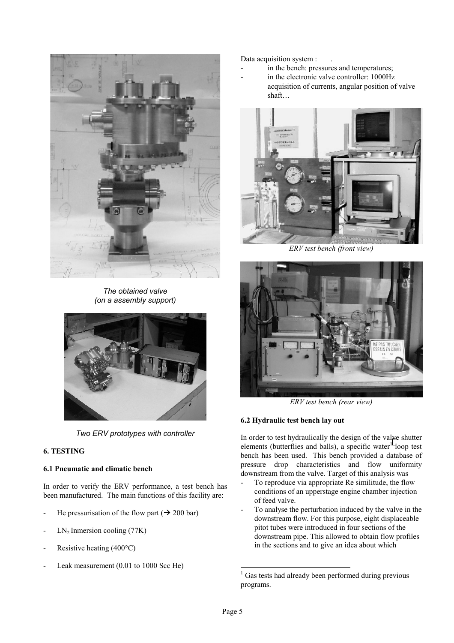

*The obtained valve (on a assembly support)*



*Two ERV prototypes with controller*

# **6. TESTING**

# **6.1 Pneumatic and climatic bench**

In order to verify the ERV performance, a test bench has been manufactured. The main functions of this facility are:

- He pressurisation of the flow part ( $\rightarrow$  200 bar)
- $LN<sub>2</sub>$  Inmersion cooling (77K)
- Resistive heating  $(400^{\circ}C)$
- Leak measurement (0.01 to 1000 Scc He)

Data acquisition system :

- in the bench: pressures and temperatures;
- in the electronic valve controller: 1000Hz acquisition of currents, angular position of valve shaft…



*ERV test bench (front view)*



*ERV test bench (rear view)*

# **6.2 Hydraulic test bench lay out**

In order to test hydraulically the design of the valve shutter elements (butterflies and balls), a specific water<sup>1</sup> loop test bench has been used. This bench provided a database of pressure drop characteristics and flow uniformity downstream from the valve. Target of this analysis was

- To reproduce via appropriate Re similitude, the flow conditions of an upperstage engine chamber injection of feed valve.
- To analyse the perturbation induced by the valve in the downstream flow. For this purpose, eight displaceable pitot tubes were introduced in four sections of the downstream pipe. This allowed to obtain flow profiles in the sections and to give an idea about which

 $\overline{a}$ 

<sup>&</sup>lt;sup>1</sup> Gas tests had already been performed during previous programs.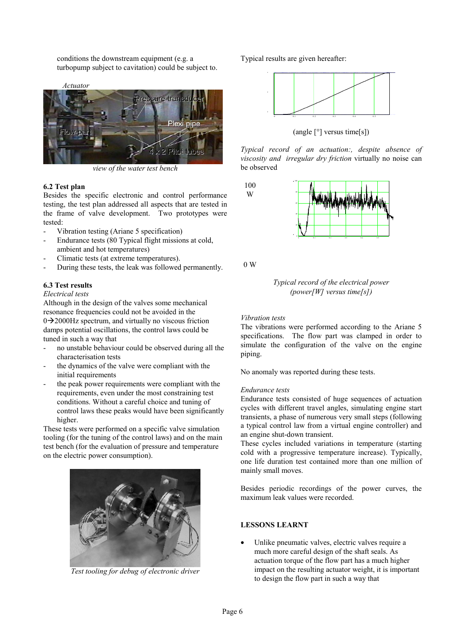conditions the downstream equipment (e.g. a turbopump subject to cavitation) could be subject to.



*view of the water test bench*

## **6.2 Test plan**

Besides the specific electronic and control performance testing, the test plan addressed all aspects that are tested in the frame of valve development. Two prototypes were tested:

- Vibration testing (Ariane 5 specification)
- Endurance tests (80 Typical flight missions at cold, ambient and hot temperatures)
- Climatic tests (at extreme temperatures).
- During these tests, the leak was followed permanently.

## **6.3 Test results**

#### *Electrical tests*

Although in the design of the valves some mechanical resonance frequencies could not be avoided in the  $0\rightarrow$  2000Hz spectrum, and virtually no viscous friction damps potential oscillations, the control laws could be tuned in such a way that

- no unstable behaviour could be observed during all the characterisation tests
- the dynamics of the valve were compliant with the initial requirements
- the peak power requirements were compliant with the requirements, even under the most constraining test conditions. Without a careful choice and tuning of control laws these peaks would have been significantly higher.

These tests were performed on a specific valve simulation tooling (for the tuning of the control laws) and on the main test bench (for the evaluation of pressure and temperature on the electric power consumption).



*Test tooling for debug of electronic driver*

Typical results are given hereafter:



(angle [°] versus time[s])

*Typical record of an actuation:, despite absence of viscosity and irregular dry friction* virtually no noise can be observed

100 W



0 W



## *Vibration tests*

The vibrations were performed according to the Ariane 5 specifications. The flow part was clamped in order to simulate the configuration of the valve on the engine piping.

No anomaly was reported during these tests.

## *Endurance tests*

Endurance tests consisted of huge sequences of actuation cycles with different travel angles, simulating engine start transients, a phase of numerous very small steps (following a typical control law from a virtual engine controller) and an engine shut-down transient.

These cycles included variations in temperature (starting cold with a progressive temperature increase). Typically, one life duration test contained more than one million of mainly small moves.

Besides periodic recordings of the power curves, the maximum leak values were recorded.

## **LESSONS LEARNT**

Unlike pneumatic valves, electric valves require a much more careful design of the shaft seals. As actuation torque of the flow part has a much higher impact on the resulting actuator weight, it is important to design the flow part in such a way that